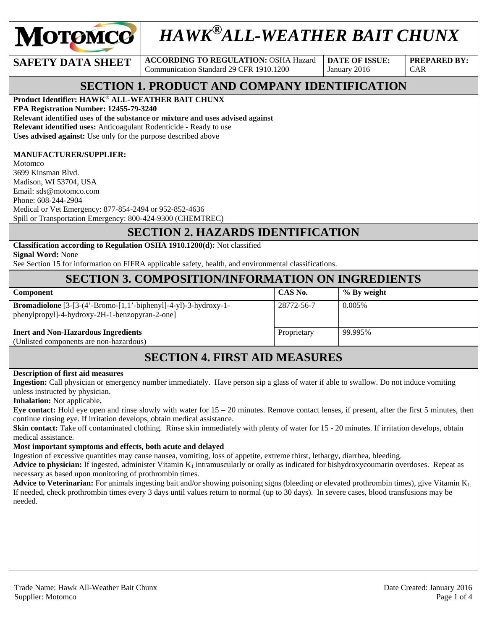

# *HAWK®ALL-WEATHER BAIT CHUNX*

**SAFETY DATA SHEET** ACCORDING TO REGULATION: OSHA Hazard Communication Standard 29 CFR 1910.1200

**DATE OF ISSUE:**  January 2016

**PREPARED BY:**  CAR

## **SECTION 1. PRODUCT AND COMPANY IDENTIFICATION**

**Product Identifier: HAWK**® **ALL-WEATHER BAIT CHUNX EPA Registration Number: 12455-79-3240 Relevant identified uses of the substance or mixture and uses advised against Relevant identified uses:** Anticoagulant Rodenticide - Ready to use **Uses advised against:** Use only for the purpose described above

#### **MANUFACTURER/SUPPLIER:**

Motomco 3699 Kinsman Blvd. Madison, WI 53704, USA Email: sds@motomco.com Phone: 608-244-2904 Medical or Vet Emergency: 877-854-2494 or 952-852-4636 Spill or Transportation Emergency: 800-424-9300 (CHEMTREC)

#### **SECTION 2. HAZARDS IDENTIFICATION**

**Classification according to Regulation OSHA 1910.1200(d):** Not classified **Signal Word:** None

See Section 15 for information on FIFRA applicable safety, health, and environmental classifications.

### **SECTION 3. COMPOSITION/INFORMATION ON INGREDIENTS**

| <b>Component</b>                                                                                                        | CAS No.     | % By weight |
|-------------------------------------------------------------------------------------------------------------------------|-------------|-------------|
| <b>Bromadiolone</b> $[3-(4'-Bromo-[1,1'-bipheny]]-4-y]$ -3-hydroxy-1-<br>phenylpropyl]-4-hydroxy-2H-1-benzopyran-2-one] | 28772-56-7  | 0.005\%     |
| <b>Inert and Non-Hazardous Ingredients</b>                                                                              | Proprietary | 99.995%     |
| (Unlisted components are non-hazardous)                                                                                 |             |             |

# **SECTION 4. FIRST AID MEASURES**

#### **Description of first aid measures**

**Ingestion:** Call physician or emergency number immediately. Have person sip a glass of water if able to swallow. Do not induce vomiting unless instructed by physician.

**Inhalation:** Not applicable**.** 

**Eye contact:** Hold eye open and rinse slowly with water for  $15 - 20$  minutes. Remove contact lenses, if present, after the first 5 minutes, then continue rinsing eye. If irritation develops, obtain medical assistance.

**Skin contact:** Take off contaminated clothing. Rinse skin immediately with plenty of water for 15 - 20 minutes. If irritation develops, obtain medical assistance.

#### **Most important symptoms and effects, both acute and delayed**

Ingestion of excessive quantities may cause nausea, vomiting, loss of appetite, extreme thirst, lethargy, diarrhea, bleeding.

**Advice to physician:** If ingested, administer Vitamin  $K_1$  intramuscularly or orally as indicated for bishydroxycoumarin overdoses. Repeat as necessary as based upon monitoring of prothrombin times.

**Advice to Veterinarian:** For animals ingesting bait and/or showing poisoning signs (bleeding or elevated prothrombin times), give Vitamin K<sub>1</sub> If needed, check prothrombin times every 3 days until values return to normal (up to 30 days). In severe cases, blood transfusions may be needed.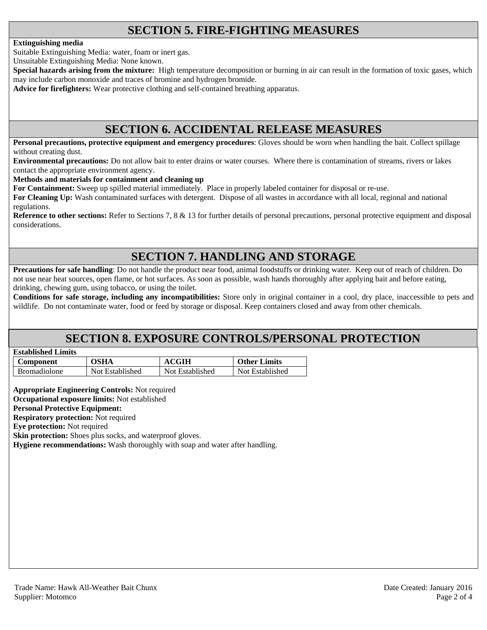# **SECTION 5. FIRE-FIGHTING MEASURES**

#### **Extinguishing media**

Suitable Extinguishing Media: water, foam or inert gas.

Unsuitable Extinguishing Media: None known.

**Special hazards arising from the mixture:** High temperature decomposition or burning in air can result in the formation of toxic gases, which may include carbon monoxide and traces of bromine and hydrogen bromide.

**Advice for firefighters:** Wear protective clothing and self-contained breathing apparatus.

### **SECTION 6. ACCIDENTAL RELEASE MEASURES**

**Personal precautions, protective equipment and emergency procedures**: Gloves should be worn when handling the bait. Collect spillage without creating dust.

**Environmental precautions:** Do not allow bait to enter drains or water courses. Where there is contamination of streams, rivers or lakes contact the appropriate environment agency.

**Methods and materials for containment and cleaning up**

**For Containment:** Sweep up spilled material immediately. Place in properly labeled container for disposal or re-use.

**For Cleaning Up:** Wash contaminated surfaces with detergent. Dispose of all wastes in accordance with all local, regional and national regulations.

**Reference to other sections:** Refer to Sections 7, 8 & 13 for further details of personal precautions, personal protective equipment and disposal considerations.

# **SECTION 7. HANDLING AND STORAGE**

**Precautions for safe handling**: Do not handle the product near food, animal foodstuffs or drinking water. Keep out of reach of children. Do not use near heat sources, open flame, or hot surfaces. As soon as possible, wash hands thoroughly after applying bait and before eating, drinking, chewing gum, using tobacco, or using the toilet.

**Conditions for safe storage, including any incompatibilities:** Store only in original container in a cool, dry place, inaccessible to pets and wildlife. Do not contaminate water, food or feed by storage or disposal. Keep containers closed and away from other chemicals.

### **SECTION 8. EXPOSURE CONTROLS/PERSONAL PROTECTION**

| <b>Established Limits</b> |  |
|---------------------------|--|
|                           |  |

| Component           | OSHA            | <b>ACGIH</b>    | <b>Other Limits</b> |
|---------------------|-----------------|-----------------|---------------------|
| <b>Bromadiolone</b> | Not Established | Not Established | Not Established     |

**Appropriate Engineering Controls:** Not required **Occupational exposure limits:** Not established **Personal Protective Equipment: Respiratory protection:** Not required

**Eye protection:** Not required

**Skin protection:** Shoes plus socks, and waterproof gloves.

**Hygiene recommendations:** Wash thoroughly with soap and water after handling.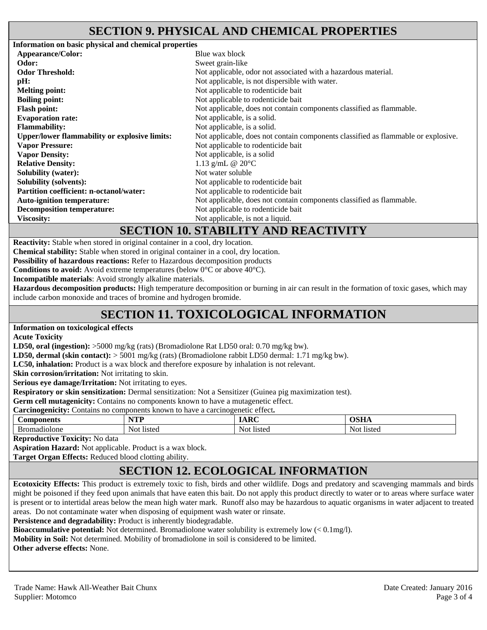### **SECTION 9. PHYSICAL AND CHEMICAL PROPERTIES**

**Information on basic physical and chemical properties Appearance/Color:** Blue wax block **Odor:** Sweet grain-like **Odor Threshold: Not** applicable, odor not associated with a hazardous material. **pH:** Not applicable, is not dispersible with water. **Melting point: Not** applicable to rodenticide bait **Boiling point:** Not applicable to rodenticide bait **Flash point:** Not applicable, does not contain components classified as flammable. **Evaporation rate:** Not applicable, is a solid. **Flammability:** Not applicable, is a solid. **Upper/lower flammability or explosive limits:** Not applicable, does not contain components classified as flammable or explosive. **Vapor Pressure: Vapor Density:**  Not applicable to rodenticide bait Not applicable, is a solid **Relative Density:**  $1.13 \text{ g/mL}$  @ 20°C **Solubility (water):** Not water soluble **Solubility (solvents): Not applicable to rodenticide bait Partition coefficient: n-octanol/water:** Not applicable to rodenticide bait **Auto-ignition temperature:** Not applicable, does not contain components classified as flammable. **Decomposition temperature:** Not applicable to rodenticide bait **Viscosity:** Not applicable, is not a liquid.

### **SECTION 10. STABILITY AND REACTIVITY**

**Reactivity:** Stable when stored in original container in a cool, dry location.

**Chemical stability:** Stable when stored in original container in a cool, dry location.

**Possibility of hazardous reactions:** Refer to Hazardous decomposition products

**Conditions to avoid:** Avoid extreme temperatures (below 0°C or above 40°C).

**Incompatible materials**: Avoid strongly alkaline materials.

**Hazardous decomposition products:** High temperature decomposition or burning in air can result in the formation of toxic gases, which may include carbon monoxide and traces of bromine and hydrogen bromide.

# **SECTION 11. TOXICOLOGICAL INFORMATION**

#### **Information on toxicological effects**

**Acute Toxicity** 

**LD50, oral (ingestion):** >5000 mg/kg (rats) (Bromadiolone Rat LD50 oral: 0.70 mg/kg bw).

**LD50, dermal (skin contact):** > 5001 mg/kg (rats) (Bromadiolone rabbit LD50 dermal: 1.71 mg/kg bw).

**LC50, inhalation:** Product is a wax block and therefore exposure by inhalation is not relevant.

**Skin corrosion/irritation:** Not irritating to skin.

**Serious eye damage/Irritation:** Not irritating to eyes.

**Respiratory or skin sensitization:** Dermal sensitization: Not a Sensitizer (Guinea pig maximization test).

**Germ cell mutagenicity:** Contains no components known to have a mutagenetic effect.

**Carcinogenicity:** Contains no components known to have a carcinogenetic effect**.** 

| $\sqrt{2}$<br>$\sim$ $\sim$ $\sim$ $\sim$ $\sim$<br><b>Con</b><br>'NU. | NTD<br>.                  | $\cdot$ Decsing $\sim$ | -----<br>.       |
|------------------------------------------------------------------------|---------------------------|------------------------|------------------|
| D.,<br>110ION.<br>ÞІ                                                   | N o1<br>lietor<br>715 U.S | Not<br>listec          | listed<br>No<br> |

**Reproductive Toxicity:** No data

**Aspiration Hazard:** Not applicable. Product is a wax block.

**Target Organ Effects:** Reduced blood clotting ability.

# **SECTION 12. ECOLOGICAL INFORMATION**

**Ecotoxicity Effects:** This product is extremely toxic to fish, birds and other wildlife. Dogs and predatory and scavenging mammals and birds might be poisoned if they feed upon animals that have eaten this bait. Do not apply this product directly to water or to areas where surface water is present or to intertidal areas below the mean high water mark. Runoff also may be hazardous to aquatic organisms in water adjacent to treated areas. Do not contaminate water when disposing of equipment wash water or rinsate.

**Persistence and degradability:** Product is inherently biodegradable.

**Bioaccumulative potential:** Not determined. Bromadiolone water solubility is extremely low (< 0.1mg/l).

**Mobility in Soil:** Not determined. Mobility of bromadiolone in soil is considered to be limited.

**Other adverse effects:** None.